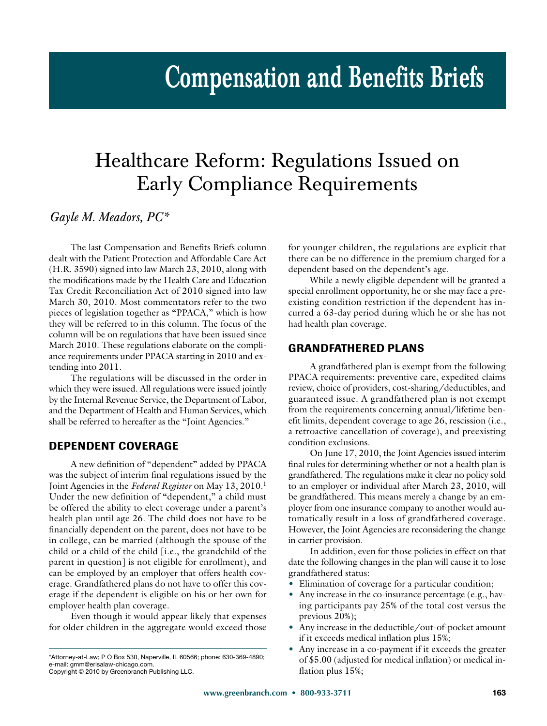# **Compensation and Benefits Briefs**

# Healthcare Reform: Regulations Issued on Early Compliance Requirements

## *Gayle M. Meadors, PC\**

The last Compensation and Benefits Briefs column dealt with the Patient Protection and Affordable Care Act (H.R. 3590) signed into law March 23, 2010, along with the modifications made by the Health Care and Education Tax Credit Reconciliation Act of 2010 signed into law March 30, 2010. Most commentators refer to the two pieces of legislation together as "PPACA," which is how they will be referred to in this column. The focus of the column will be on regulations that have been issued since March 2010. These regulations elaborate on the compliance requirements under PPACA starting in 2010 and extending into 2011.

The regulations will be discussed in the order in which they were issued. All regulations were issued jointly by the Internal Revenue Service, the Department of Labor, and the Department of Health and Human Services, which shall be referred to hereafter as the "Joint Agencies."

#### **DEPENDENT COVERAGE**

A new definition of "dependent" added by PPACA was the subject of interim final regulations issued by the Joint Agencies in the *Federal Register* on May 13, 2010.1 Under the new definition of "dependent," a child must be offered the ability to elect coverage under a parent's health plan until age 26. The child does not have to be financially dependent on the parent, does not have to be in college, can be married (although the spouse of the child or a child of the child [i.e., the grandchild of the parent in question] is not eligible for enrollment), and can be employed by an employer that offers health coverage. Grandfathered plans do not have to offer this coverage if the dependent is eligible on his or her own for employer health plan coverage.

Even though it would appear likely that expenses for older children in the aggregate would exceed those for younger children, the regulations are explicit that there can be no difference in the premium charged for a dependent based on the dependent's age.

While a newly eligible dependent will be granted a special enrollment opportunity, he or she may face a preexisting condition restriction if the dependent has incurred a 63-day period during which he or she has not had health plan coverage.

#### **GRANDFATHERED PLANS**

A grandfathered plan is exempt from the following PPACA requirements: preventive care, expedited claims review, choice of providers, cost-sharing/deductibles, and guaranteed issue. A grandfathered plan is not exempt from the requirements concerning annual/lifetime benefit limits, dependent coverage to age 26, rescission (i.e., a retroactive cancellation of coverage), and preexisting condition exclusions.

On June 17, 2010, the Joint Agencies issued interim final rules for determining whether or not a health plan is grandfathered. The regulations make it clear no policy sold to an employer or individual after March 23, 2010, will be grandfathered. This means merely a change by an employer from one insurance company to another would automatically result in a loss of grandfathered coverage. However, the Joint Agencies are reconsidering the change in carrier provision.

In addition, even for those policies in effect on that date the following changes in the plan will cause it to lose grandfathered status:

- Elimination of coverage for a particular condition;
- Any increase in the co-insurance percentage (e.g., having participants pay 25% of the total cost versus the previous 20%);
- Any increase in the deductible/out-of-pocket amount if it exceeds medical inflation plus 15%;
- Any increase in a co-payment if it exceeds the greater of \$5.00 (adjusted for medical inflation) or medical inflation plus 15%;

<sup>\*</sup>Attorney-at-Law; P O Box 530, Naperville, IL 60566; phone: 630-369-4890;

e-mail: gmmeentellam-entelligencem.<br>Convright © 2010 by Greenbranch Pi Copyright © 2010 by Greenbranch Publishing LLC.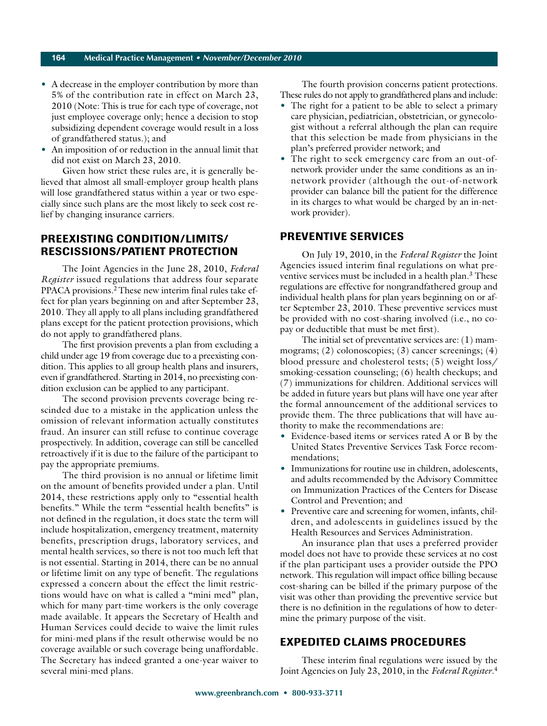#### **164 Medical Practice Management • November/December 2010**

- A decrease in the employer contribution by more than 5% of the contribution rate in effect on March 23, 2010 (Note: This is true for each type of coverage, not just employee coverage only; hence a decision to stop subsidizing dependent coverage would result in a loss of grandfathered status.); and
- An imposition of or reduction in the annual limit that did not exist on March 23, 2010.

Given how strict these rules are, it is generally believed that almost all small-employer group health plans will lose grandfathered status within a year or two especially since such plans are the most likely to seek cost relief by changing insurance carriers.

### **PREEXISTING CONDITION/LIMITS/ RESCISSIONS/PATIENT PROTECTION**

The Joint Agencies in the June 28, 2010, *Federal Register* issued regulations that address four separate PPACA provisions.<sup>2</sup> These new interim final rules take effect for plan years beginning on and after September 23, 2010. They all apply to all plans including grandfathered plans except for the patient protection provisions, which do not apply to grandfathered plans.

The first provision prevents a plan from excluding a child under age 19 from coverage due to a preexisting condition. This applies to all group health plans and insurers, even if grandfathered. Starting in 2014, no preexisting condition exclusion can be applied to any participant.

The second provision prevents coverage being rescinded due to a mistake in the application unless the omission of relevant information actually constitutes fraud. An insurer can still refuse to continue coverage prospectively. In addition, coverage can still be cancelled retroactively if it is due to the failure of the participant to pay the appropriate premiums.

The third provision is no annual or lifetime limit on the amount of benefits provided under a plan. Until 2014, these restrictions apply only to "essential health benefits." While the term "essential health benefits" is not defined in the regulation, it does state the term will include hospitalization, emergency treatment, maternity benefits, prescription drugs, laboratory services, and mental health services, so there is not too much left that is not essential. Starting in 2014, there can be no annual or lifetime limit on any type of benefit. The regulations expressed a concern about the effect the limit restrictions would have on what is called a "mini med" plan, which for many part-time workers is the only coverage made available. It appears the Secretary of Health and Human Services could decide to waive the limit rules for mini-med plans if the result otherwise would be no coverage available or such coverage being unaffordable. The Secretary has indeed granted a one-year waiver to several mini-med plans.

The fourth provision concerns patient protections. These rules do not apply to grandfathered plans and include:

- The right for a patient to be able to select a primary care physician, pediatrician, obstetrician, or gynecologist without a referral although the plan can require that this selection be made from physicians in the plan's preferred provider network; and
- The right to seek emergency care from an out-ofnetwork provider under the same conditions as an innetwork provider (although the out-of-network provider can balance bill the patient for the difference in its charges to what would be charged by an in-network provider).

#### **PREVENTIVE SERVICES**

On July 19, 2010, in the *Federal Register* the Joint Agencies issued interim final regulations on what preventive services must be included in a health plan.<sup>3</sup> These regulations are effective for nongrandfathered group and individual health plans for plan years beginning on or after September 23, 2010. These preventive services must be provided with no cost-sharing involved (i.e., no copay or deductible that must be met first).

The initial set of preventative services are: (1) mammograms; (2) colonoscopies; (3) cancer screenings; (4) blood pressure and cholesterol tests; (5) weight loss/ smoking-cessation counseling; (6) health checkups; and (7) immunizations for children. Additional services will be added in future years but plans will have one year after the formal announcement of the additional services to provide them. The three publications that will have authority to make the recommendations are:

- Evidence-based items or services rated A or B by the United States Preventive Services Task Force recommendations;
- Immunizations for routine use in children, adolescents, and adults recommended by the Advisory Committee on Immunization Practices of the Centers for Disease Control and Prevention; and
- Preventive care and screening for women, infants, children, and adolescents in guidelines issued by the Health Resources and Services Administration.

An insurance plan that uses a preferred provider model does not have to provide these services at no cost if the plan participant uses a provider outside the PPO network. This regulation will impact office billing because cost-sharing can be billed if the primary purpose of the visit was other than providing the preventive service but there is no definition in the regulations of how to determine the primary purpose of the visit.

#### **EXPEDITED CLAIMS PROCEDURES**

These interim final regulations were issued by the Joint Agencies on July 23, 2010, in the *Federal Register*. 4